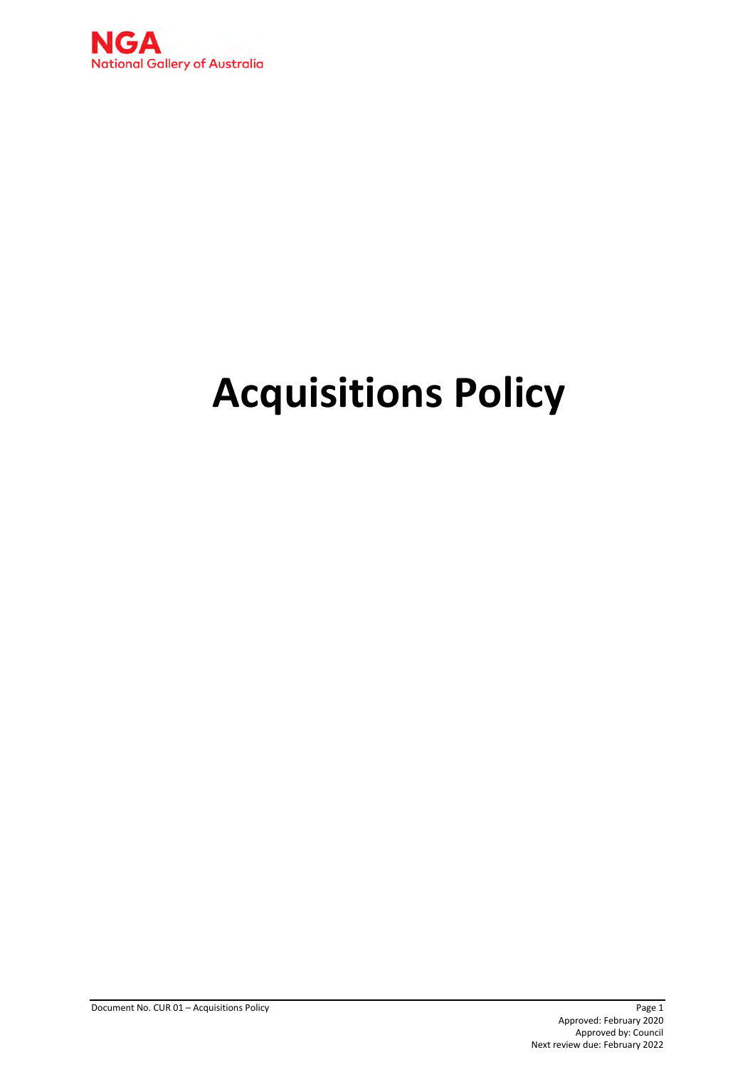

# **Acquisitions Policy**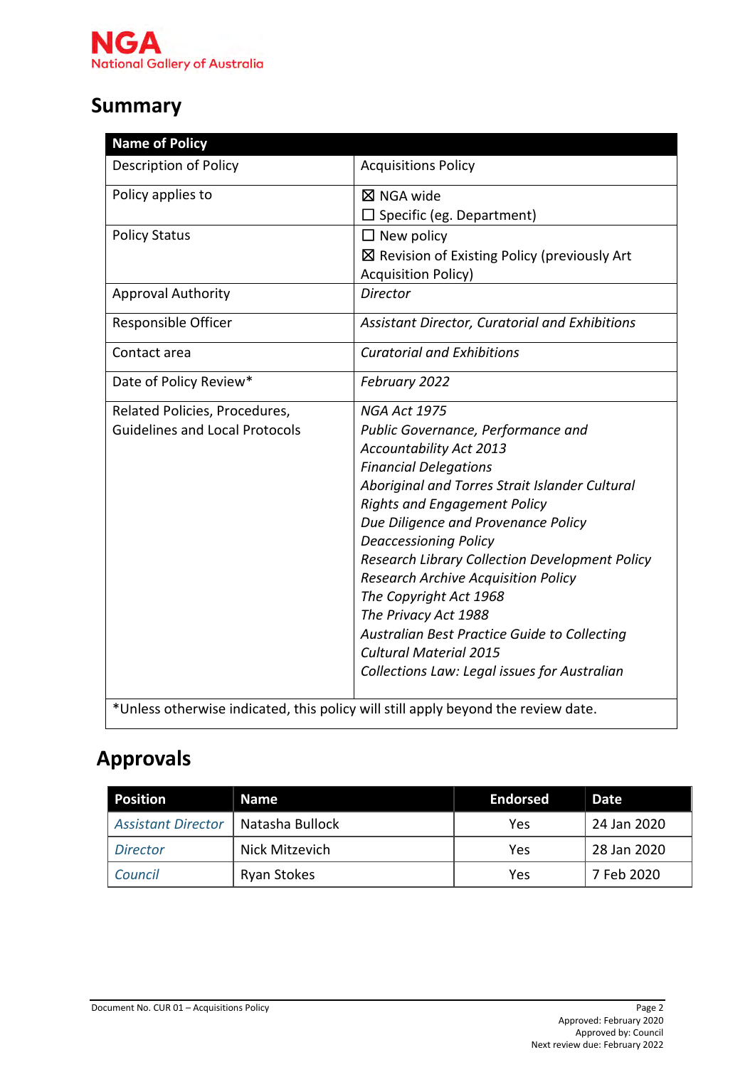

# **Summary**

| <b>Name of Policy</b>                 |                                                                                   |
|---------------------------------------|-----------------------------------------------------------------------------------|
| <b>Description of Policy</b>          | <b>Acquisitions Policy</b>                                                        |
| Policy applies to                     | ⊠ NGA wide                                                                        |
|                                       | $\square$ Specific (eg. Department)                                               |
| <b>Policy Status</b>                  | $\Box$ New policy                                                                 |
|                                       | $\boxtimes$ Revision of Existing Policy (previously Art                           |
|                                       | <b>Acquisition Policy)</b>                                                        |
| <b>Approval Authority</b>             | <b>Director</b>                                                                   |
| Responsible Officer                   | Assistant Director, Curatorial and Exhibitions                                    |
| Contact area                          | <b>Curatorial and Exhibitions</b>                                                 |
| Date of Policy Review*                | February 2022                                                                     |
| Related Policies, Procedures,         | <b>NGA Act 1975</b>                                                               |
| <b>Guidelines and Local Protocols</b> | Public Governance, Performance and                                                |
|                                       | <b>Accountability Act 2013</b>                                                    |
|                                       | <b>Financial Delegations</b>                                                      |
|                                       | Aboriginal and Torres Strait Islander Cultural                                    |
|                                       | <b>Rights and Engagement Policy</b>                                               |
|                                       | Due Diligence and Provenance Policy                                               |
|                                       | <b>Deaccessioning Policy</b>                                                      |
|                                       | <b>Research Library Collection Development Policy</b>                             |
|                                       | <b>Research Archive Acquisition Policy</b>                                        |
|                                       | The Copyright Act 1968                                                            |
|                                       | The Privacy Act 1988                                                              |
|                                       | Australian Best Practice Guide to Collecting                                      |
|                                       | <b>Cultural Material 2015</b>                                                     |
|                                       | Collections Law: Legal issues for Australian                                      |
|                                       | *Unless otherwise indicated, this policy will still apply beyond the review date. |

# **Approvals**

| <b>Position</b>           | <b>Name</b>        | <b>Endorsed</b> | <b>Date</b> |
|---------------------------|--------------------|-----------------|-------------|
| <b>Assistant Director</b> | Natasha Bullock    | Yes             | 24 Jan 2020 |
| <b>Director</b>           | Nick Mitzevich     | Yes             | 28 Jan 2020 |
| Council                   | <b>Ryan Stokes</b> | Yes             | 7 Feb 2020  |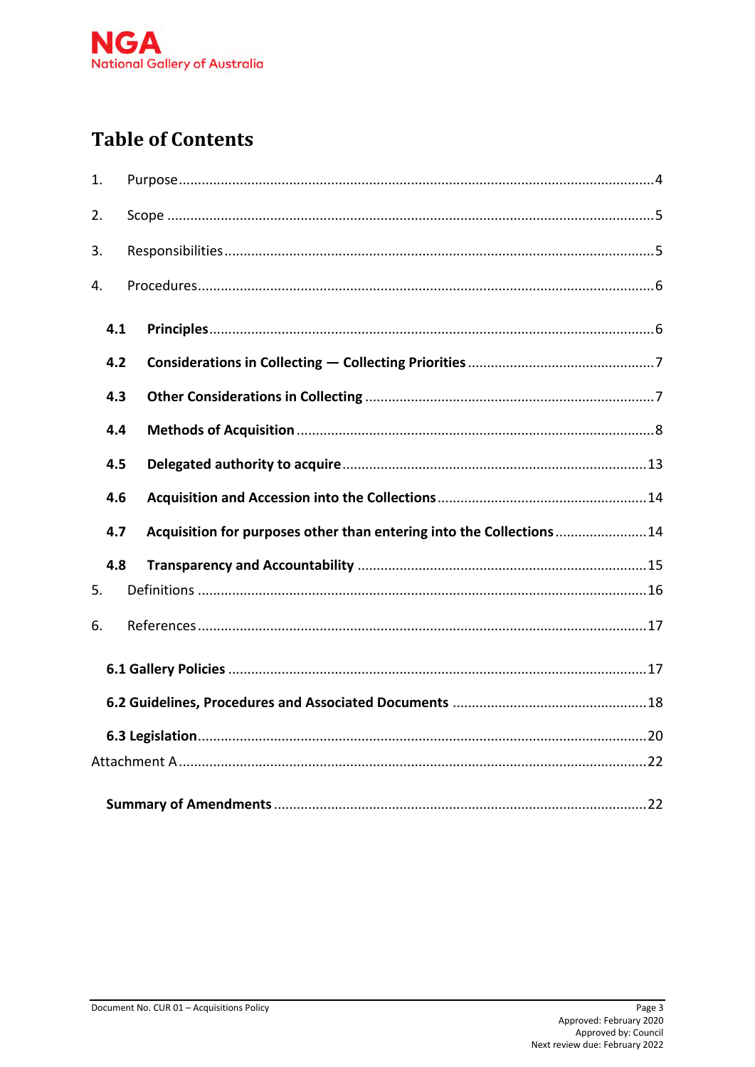

# **Table of Contents**

| 1.  |                                                                             |  |  |  |  |
|-----|-----------------------------------------------------------------------------|--|--|--|--|
| 2.  |                                                                             |  |  |  |  |
| 3.  |                                                                             |  |  |  |  |
| 4.  |                                                                             |  |  |  |  |
| 4.1 |                                                                             |  |  |  |  |
| 4.2 |                                                                             |  |  |  |  |
| 4.3 |                                                                             |  |  |  |  |
|     | 4.4                                                                         |  |  |  |  |
|     | 4.5                                                                         |  |  |  |  |
|     | 4.6                                                                         |  |  |  |  |
|     | Acquisition for purposes other than entering into the Collections 14<br>4.7 |  |  |  |  |
|     | 4.8                                                                         |  |  |  |  |
| 5.  |                                                                             |  |  |  |  |
| 6.  |                                                                             |  |  |  |  |
|     |                                                                             |  |  |  |  |
|     |                                                                             |  |  |  |  |
|     |                                                                             |  |  |  |  |
|     |                                                                             |  |  |  |  |
|     |                                                                             |  |  |  |  |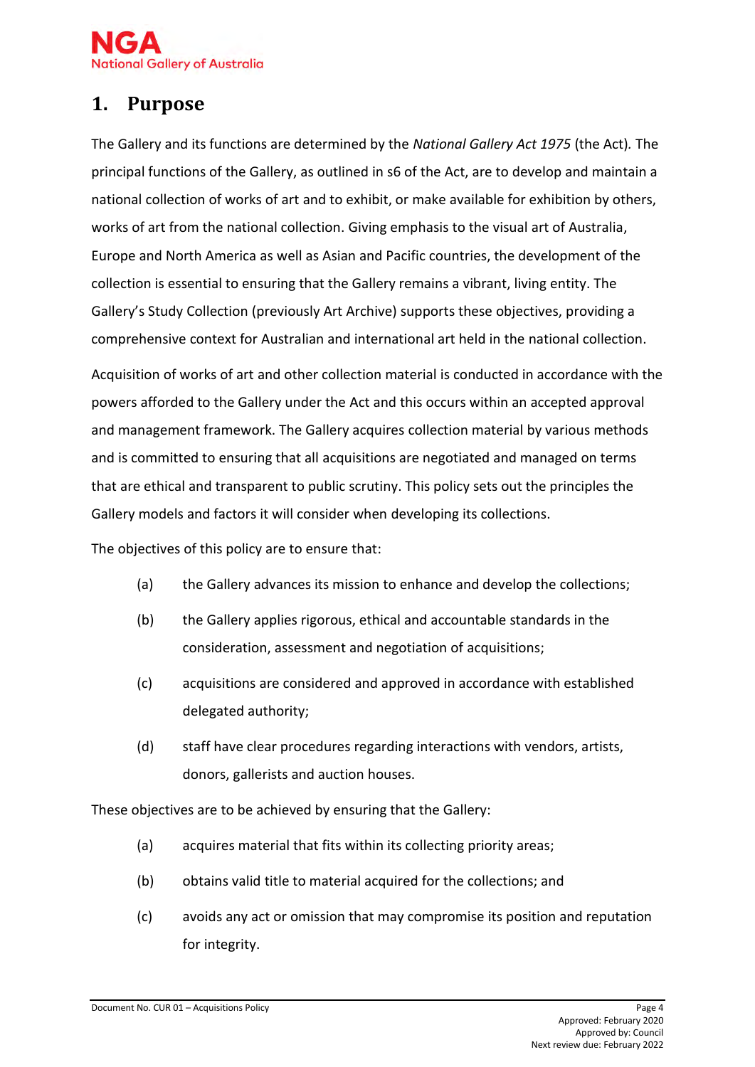

# <span id="page-3-0"></span>**1. Purpose**

The Gallery and its functions are determined by the *National Gallery Act 1975* (the Act)*.* The principal functions of the Gallery, as outlined in s6 of the Act, are to develop and maintain a national collection of works of art and to exhibit, or make available for exhibition by others, works of art from the national collection. Giving emphasis to the visual art of Australia, Europe and North America as well as Asian and Pacific countries, the development of the collection is essential to ensuring that the Gallery remains a vibrant, living entity. The Gallery's Study Collection (previously Art Archive) supports these objectives, providing a comprehensive context for Australian and international art held in the national collection.

Acquisition of works of art and other collection material is conducted in accordance with the powers afforded to the Gallery under the Act and this occurs within an accepted approval and management framework. The Gallery acquires collection material by various methods and is committed to ensuring that all acquisitions are negotiated and managed on terms that are ethical and transparent to public scrutiny. This policy sets out the principles the Gallery models and factors it will consider when developing its collections.

The objectives of this policy are to ensure that:

- (a) the Gallery advances its mission to enhance and develop the collections;
- (b) the Gallery applies rigorous, ethical and accountable standards in the consideration, assessment and negotiation of acquisitions;
- (c) acquisitions are considered and approved in accordance with established delegated authority;
- (d) staff have clear procedures regarding interactions with vendors, artists, donors, gallerists and auction houses.

These objectives are to be achieved by ensuring that the Gallery:

- (a) acquires material that fits within its collecting priority areas;
- (b) obtains valid title to material acquired for the collections; and
- (c) avoids any act or omission that may compromise its position and reputation for integrity.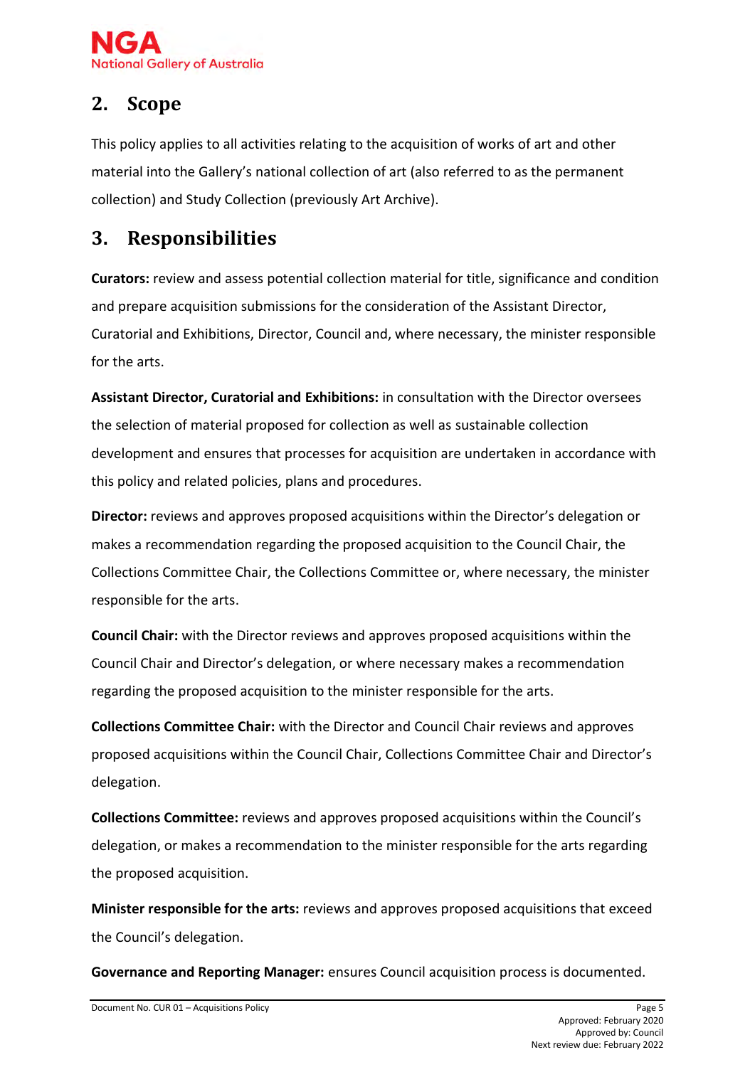

# <span id="page-4-0"></span>**2. Scope**

This policy applies to all activities relating to the acquisition of works of art and other material into the Gallery's national collection of art (also referred to as the permanent collection) and Study Collection (previously Art Archive).

# <span id="page-4-1"></span>**3. Responsibilities**

**Curators:** review and assess potential collection material for title, significance and condition and prepare acquisition submissions for the consideration of the Assistant Director, Curatorial and Exhibitions, Director, Council and, where necessary, the minister responsible for the arts.

**Assistant Director, Curatorial and Exhibitions:** in consultation with the Director oversees the selection of material proposed for collection as well as sustainable collection development and ensures that processes for acquisition are undertaken in accordance with this policy and related policies, plans and procedures.

**Director:** reviews and approves proposed acquisitions within the Director's delegation or makes a recommendation regarding the proposed acquisition to the Council Chair, the Collections Committee Chair, the Collections Committee or, where necessary, the minister responsible for the arts.

**Council Chair:** with the Director reviews and approves proposed acquisitions within the Council Chair and Director's delegation, or where necessary makes a recommendation regarding the proposed acquisition to the minister responsible for the arts.

**Collections Committee Chair:** with the Director and Council Chair reviews and approves proposed acquisitions within the Council Chair, Collections Committee Chair and Director's delegation.

**Collections Committee:** reviews and approves proposed acquisitions within the Council's delegation, or makes a recommendation to the minister responsible for the arts regarding the proposed acquisition.

**Minister responsible for the arts:** reviews and approves proposed acquisitions that exceed the Council's delegation.

**Governance and Reporting Manager:** ensures Council acquisition process is documented.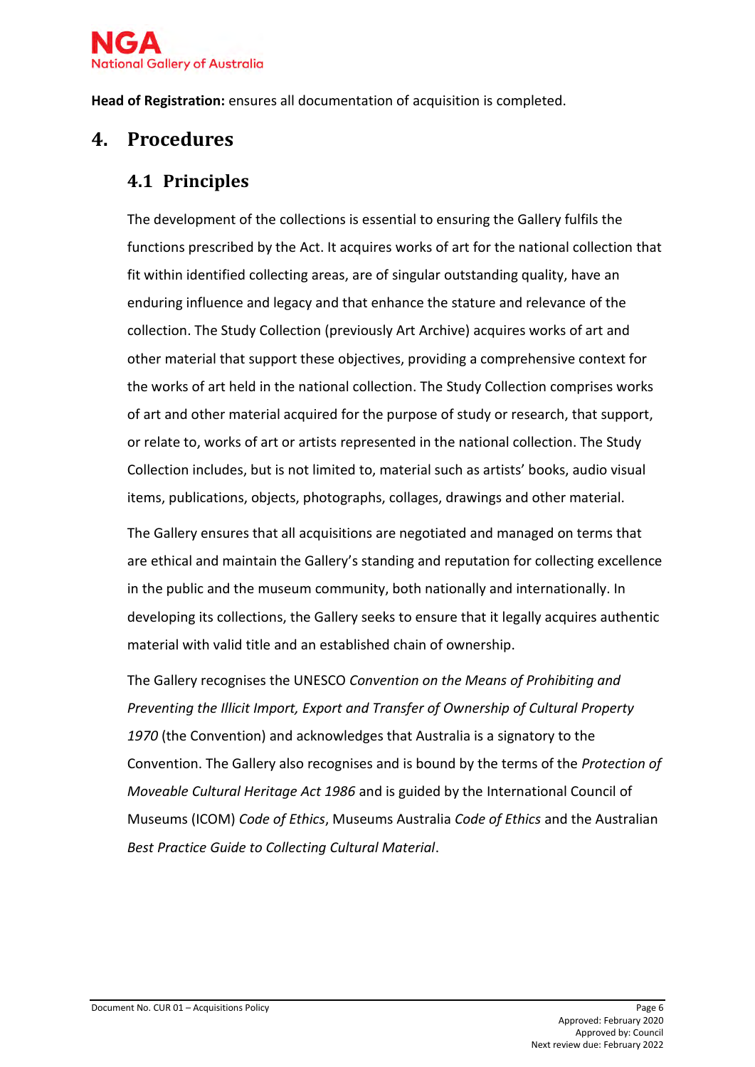

**Head of Registration:** ensures all documentation of acquisition is completed.

# <span id="page-5-0"></span>**4. Procedures**

### <span id="page-5-1"></span>**4.1 Principles**

The development of the collections is essential to ensuring the Gallery fulfils the functions prescribed by the Act. It acquires works of art for the national collection that fit within identified collecting areas, are of singular outstanding quality, have an enduring influence and legacy and that enhance the stature and relevance of the collection. The Study Collection (previously Art Archive) acquires works of art and other material that support these objectives, providing a comprehensive context for the works of art held in the national collection. The Study Collection comprises works of art and other material acquired for the purpose of study or research, that support, or relate to, works of art or artists represented in the national collection. The Study Collection includes, but is not limited to, material such as artists' books, audio visual items, publications, objects, photographs, collages, drawings and other material.

The Gallery ensures that all acquisitions are negotiated and managed on terms that are ethical and maintain the Gallery's standing and reputation for collecting excellence in the public and the museum community, both nationally and internationally. In developing its collections, the Gallery seeks to ensure that it legally acquires authentic material with valid title and an established chain of ownership.

The Gallery recognises the UNESCO *Convention on the Means of Prohibiting and Preventing the Illicit Import, Export and Transfer of Ownership of Cultural Property 1970* (the Convention) and acknowledges that Australia is a signatory to the Convention. The Gallery also recognises and is bound by the terms of the *Protection of Moveable Cultural Heritage Act 1986* and is guided by the International Council of Museums (ICOM) *Code of Ethics*, Museums Australia *Code of Ethics* and the Australian *Best Practice Guide to Collecting Cultural Material*.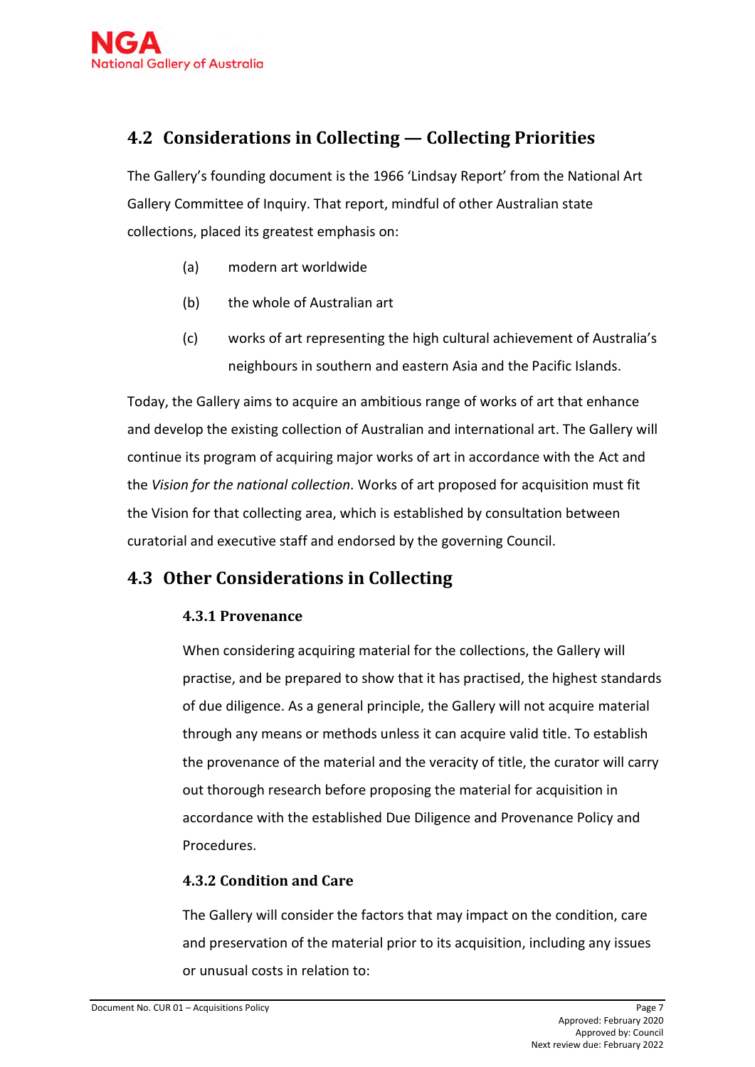# <span id="page-6-0"></span>**4.2 Considerations in Collecting — Collecting Priorities**

The Gallery's founding document is the 1966 'Lindsay Report' from the National Art Gallery Committee of Inquiry. That report, mindful of other Australian state collections, placed its greatest emphasis on:

- (a) modern art worldwide
- (b) the whole of Australian art
- (c) works of art representing the high cultural achievement of Australia's neighbours in southern and eastern Asia and the Pacific Islands.

Today, the Gallery aims to acquire an ambitious range of works of art that enhance and develop the existing collection of Australian and international art. The Gallery will continue its program of acquiring major works of art in accordance with the Act and the *Vision for the national collection*. Works of art proposed for acquisition must fit the Vision for that collecting area, which is established by consultation between curatorial and executive staff and endorsed by the governing Council.

### <span id="page-6-1"></span>**4.3 Other Considerations in Collecting**

#### **4.3.1 Provenance**

When considering acquiring material for the collections, the Gallery will practise, and be prepared to show that it has practised, the highest standards of due diligence. As a general principle, the Gallery will not acquire material through any means or methods unless it can acquire valid title. To establish the provenance of the material and the veracity of title, the curator will carry out thorough research before proposing the material for acquisition in accordance with the established Due Diligence and Provenance Policy and Procedures.

#### **4.3.2 Condition and Care**

The Gallery will consider the factors that may impact on the condition, care and preservation of the material prior to its acquisition, including any issues or unusual costs in relation to: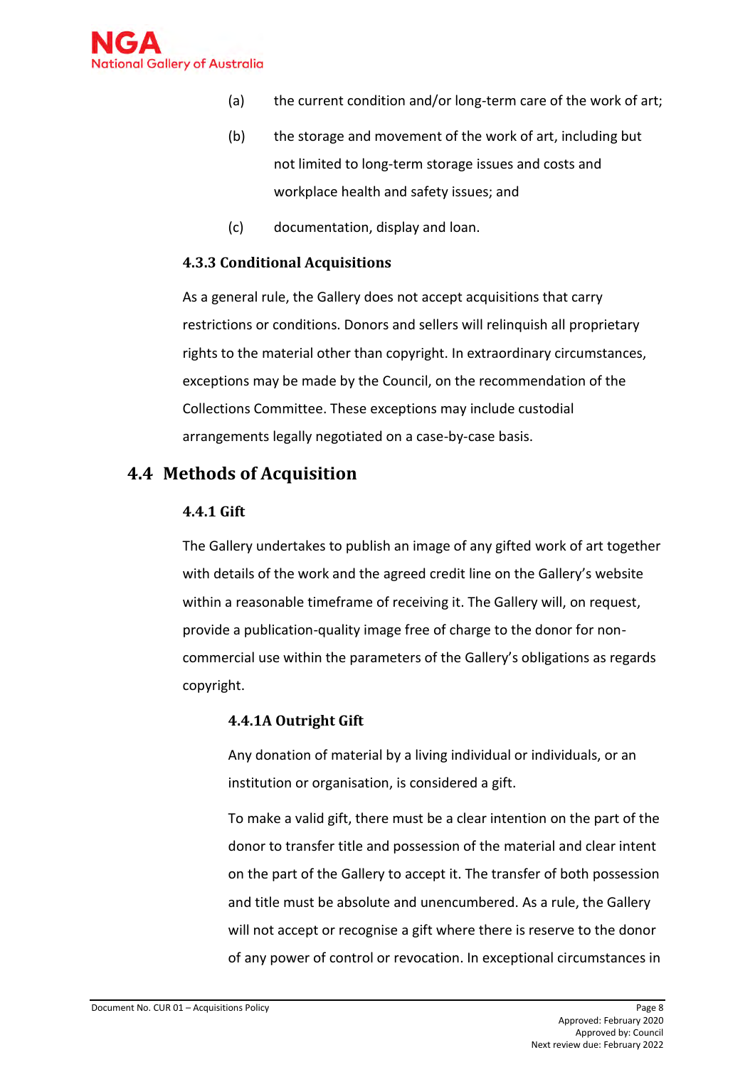

- (a) the current condition and/or long-term care of the work of art;
- (b) the storage and movement of the work of art, including but not limited to long-term storage issues and costs and workplace health and safety issues; and
- (c) documentation, display and loan.

#### **4.3.3 Conditional Acquisitions**

As a general rule, the Gallery does not accept acquisitions that carry restrictions or conditions. Donors and sellers will relinquish all proprietary rights to the material other than copyright. In extraordinary circumstances, exceptions may be made by the Council, on the recommendation of the Collections Committee. These exceptions may include custodial arrangements legally negotiated on a case-by-case basis.

#### <span id="page-7-0"></span>**4.4 Methods of Acquisition**

#### **4.4.1 Gift**

The Gallery undertakes to publish an image of any gifted work of art together with details of the work and the agreed credit line on the Gallery's website within a reasonable timeframe of receiving it. The Gallery will, on request, provide a publication-quality image free of charge to the donor for noncommercial use within the parameters of the Gallery's obligations as regards copyright.

#### **4.4.1A Outright Gift**

Any donation of material by a living individual or individuals, or an institution or organisation, is considered a gift.

To make a valid gift, there must be a clear intention on the part of the donor to transfer title and possession of the material and clear intent on the part of the Gallery to accept it. The transfer of both possession and title must be absolute and unencumbered. As a rule, the Gallery will not accept or recognise a gift where there is reserve to the donor of any power of control or revocation. In exceptional circumstances in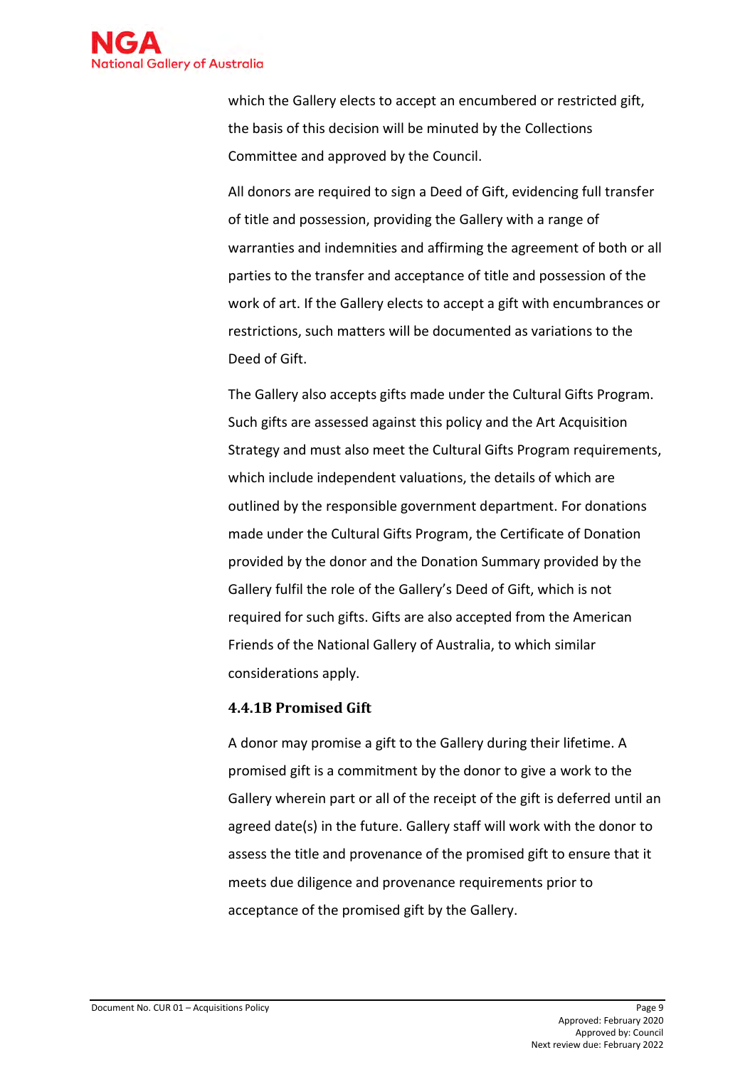

which the Gallery elects to accept an encumbered or restricted gift, the basis of this decision will be minuted by the Collections Committee and approved by the Council.

All donors are required to sign a Deed of Gift, evidencing full transfer of title and possession, providing the Gallery with a range of warranties and indemnities and affirming the agreement of both or all parties to the transfer and acceptance of title and possession of the work of art. If the Gallery elects to accept a gift with encumbrances or restrictions, such matters will be documented as variations to the Deed of Gift.

The Gallery also accepts gifts made under the Cultural Gifts Program. Such gifts are assessed against this policy and the Art Acquisition Strategy and must also meet the Cultural Gifts Program requirements, which include independent valuations, the details of which are outlined by the responsible government department. For donations made under the Cultural Gifts Program, the Certificate of Donation provided by the donor and the Donation Summary provided by the Gallery fulfil the role of the Gallery's Deed of Gift, which is not required for such gifts. Gifts are also accepted from the American Friends of the National Gallery of Australia, to which similar considerations apply.

#### **4.4.1B Promised Gift**

A donor may promise a gift to the Gallery during their lifetime. A promised gift is a commitment by the donor to give a work to the Gallery wherein part or all of the receipt of the gift is deferred until an agreed date(s) in the future. Gallery staff will work with the donor to assess the title and provenance of the promised gift to ensure that it meets due diligence and provenance requirements prior to acceptance of the promised gift by the Gallery.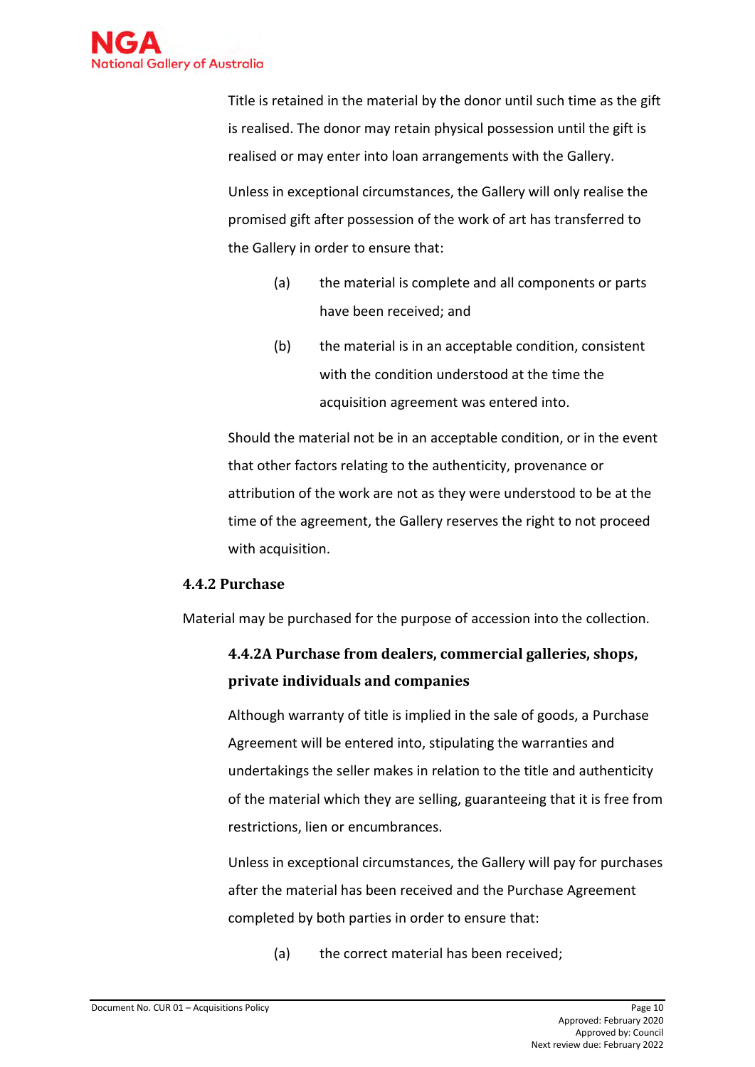

Title is retained in the material by the donor until such time as the gift is realised. The donor may retain physical possession until the gift is realised or may enter into loan arrangements with the Gallery. Unless in exceptional circumstances, the Gallery will only realise the promised gift after possession of the work of art has transferred to the Gallery in order to ensure that:

- (a) the material is complete and all components or parts have been received; and
- (b) the material is in an acceptable condition, consistent with the condition understood at the time the acquisition agreement was entered into.

Should the material not be in an acceptable condition, or in the event that other factors relating to the authenticity, provenance or attribution of the work are not as they were understood to be at the time of the agreement, the Gallery reserves the right to not proceed with acquisition.

#### **4.4.2 Purchase**

Material may be purchased for the purpose of accession into the collection.

### **4.4.2A Purchase from dealers, commercial galleries, shops, private individuals and companies**

Although warranty of title is implied in the sale of goods, a Purchase Agreement will be entered into, stipulating the warranties and undertakings the seller makes in relation to the title and authenticity of the material which they are selling, guaranteeing that it is free from restrictions, lien or encumbrances.

Unless in exceptional circumstances, the Gallery will pay for purchases after the material has been received and the Purchase Agreement completed by both parties in order to ensure that:

(a) the correct material has been received;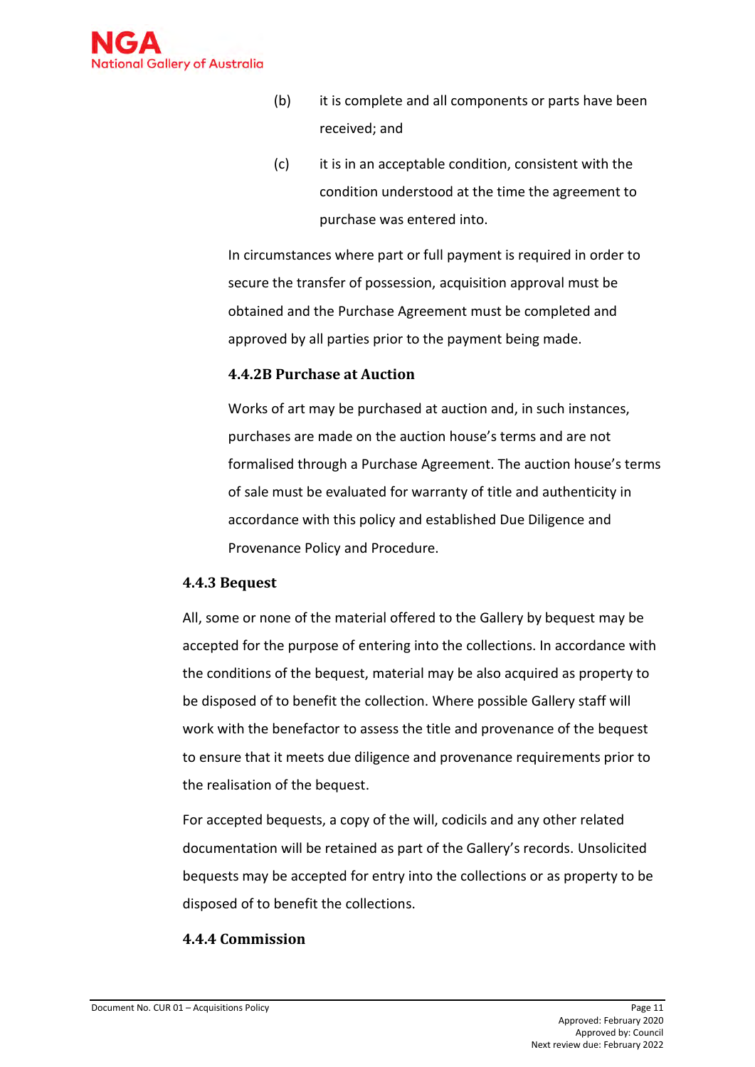

- (b) it is complete and all components or parts have been received; and
- (c) it is in an acceptable condition, consistent with the condition understood at the time the agreement to purchase was entered into.

In circumstances where part or full payment is required in order to secure the transfer of possession, acquisition approval must be obtained and the Purchase Agreement must be completed and approved by all parties prior to the payment being made.

#### **4.4.2B Purchase at Auction**

Works of art may be purchased at auction and, in such instances, purchases are made on the auction house's terms and are not formalised through a Purchase Agreement. The auction house's terms of sale must be evaluated for warranty of title and authenticity in accordance with this policy and established Due Diligence and Provenance Policy and Procedure.

#### **4.4.3 Bequest**

All, some or none of the material offered to the Gallery by bequest may be accepted for the purpose of entering into the collections. In accordance with the conditions of the bequest, material may be also acquired as property to be disposed of to benefit the collection. Where possible Gallery staff will work with the benefactor to assess the title and provenance of the bequest to ensure that it meets due diligence and provenance requirements prior to the realisation of the bequest.

For accepted bequests, a copy of the will, codicils and any other related documentation will be retained as part of the Gallery's records. Unsolicited bequests may be accepted for entry into the collections or as property to be disposed of to benefit the collections.

#### **4.4.4 Commission**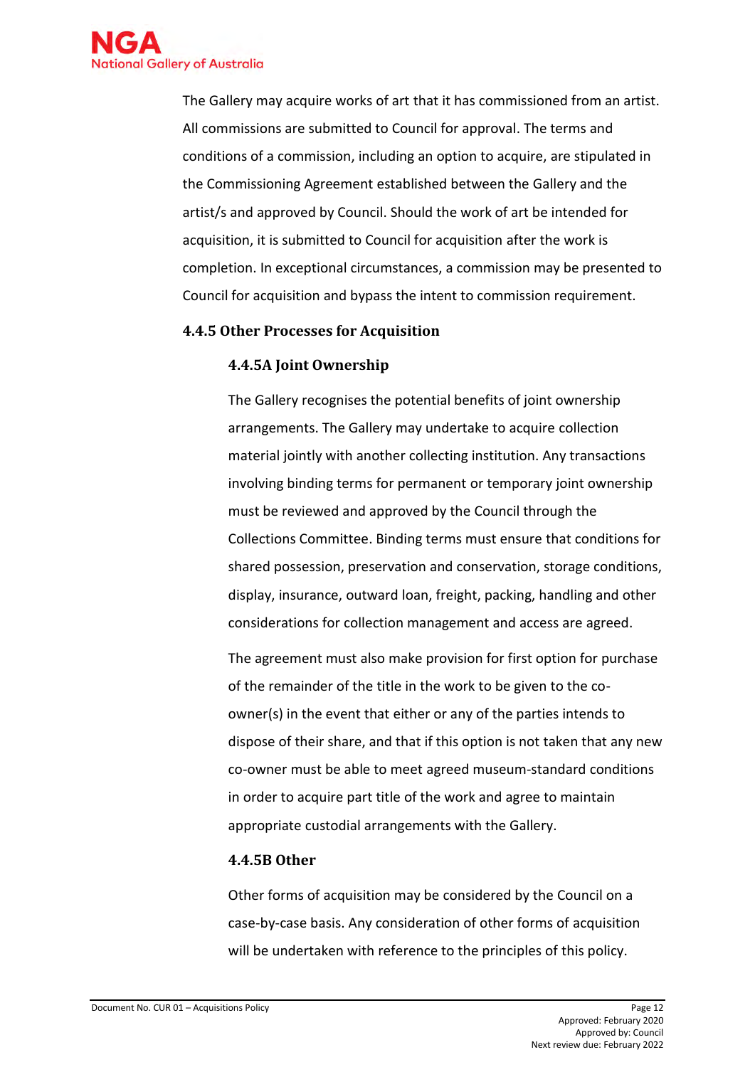

The Gallery may acquire works of art that it has commissioned from an artist. All commissions are submitted to Council for approval. The terms and conditions of a commission, including an option to acquire, are stipulated in the Commissioning Agreement established between the Gallery and the artist/s and approved by Council. Should the work of art be intended for acquisition, it is submitted to Council for acquisition after the work is completion. In exceptional circumstances, a commission may be presented to Council for acquisition and bypass the intent to commission requirement.

#### **4.4.5 Other Processes for Acquisition**

#### **4.4.5A Joint Ownership**

The Gallery recognises the potential benefits of joint ownership arrangements. The Gallery may undertake to acquire collection material jointly with another collecting institution. Any transactions involving binding terms for permanent or temporary joint ownership must be reviewed and approved by the Council through the Collections Committee. Binding terms must ensure that conditions for shared possession, preservation and conservation, storage conditions, display, insurance, outward loan, freight, packing, handling and other considerations for collection management and access are agreed.

The agreement must also make provision for first option for purchase of the remainder of the title in the work to be given to the coowner(s) in the event that either or any of the parties intends to dispose of their share, and that if this option is not taken that any new co-owner must be able to meet agreed museum-standard conditions in order to acquire part title of the work and agree to maintain appropriate custodial arrangements with the Gallery.

#### **4.4.5B Other**

Other forms of acquisition may be considered by the Council on a case-by-case basis. Any consideration of other forms of acquisition will be undertaken with reference to the principles of this policy.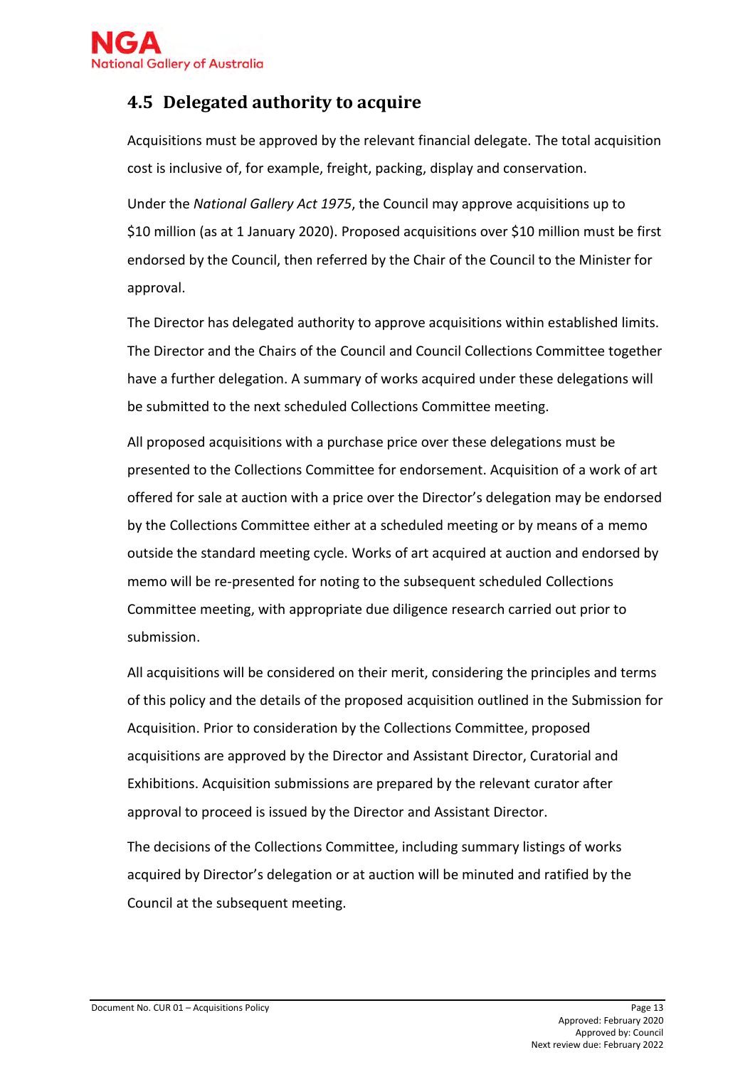

### <span id="page-12-0"></span>**4.5 Delegated authority to acquire**

Acquisitions must be approved by the relevant financial delegate. The total acquisition cost is inclusive of, for example, freight, packing, display and conservation.

Under the *National Gallery Act 1975*, the Council may approve acquisitions up to \$10 million (as at 1 January 2020). Proposed acquisitions over \$10 million must be first endorsed by the Council, then referred by the Chair of the Council to the Minister for approval.

The Director has delegated authority to approve acquisitions within established limits. The Director and the Chairs of the Council and Council Collections Committee together have a further delegation. A summary of works acquired under these delegations will be submitted to the next scheduled Collections Committee meeting.

All proposed acquisitions with a purchase price over these delegations must be presented to the Collections Committee for endorsement. Acquisition of a work of art offered for sale at auction with a price over the Director's delegation may be endorsed by the Collections Committee either at a scheduled meeting or by means of a memo outside the standard meeting cycle. Works of art acquired at auction and endorsed by memo will be re-presented for noting to the subsequent scheduled Collections Committee meeting, with appropriate due diligence research carried out prior to submission.

All acquisitions will be considered on their merit, considering the principles and terms of this policy and the details of the proposed acquisition outlined in the Submission for Acquisition. Prior to consideration by the Collections Committee, proposed acquisitions are approved by the Director and Assistant Director, Curatorial and Exhibitions. Acquisition submissions are prepared by the relevant curator after approval to proceed is issued by the Director and Assistant Director.

The decisions of the Collections Committee, including summary listings of works acquired by Director's delegation or at auction will be minuted and ratified by the Council at the subsequent meeting.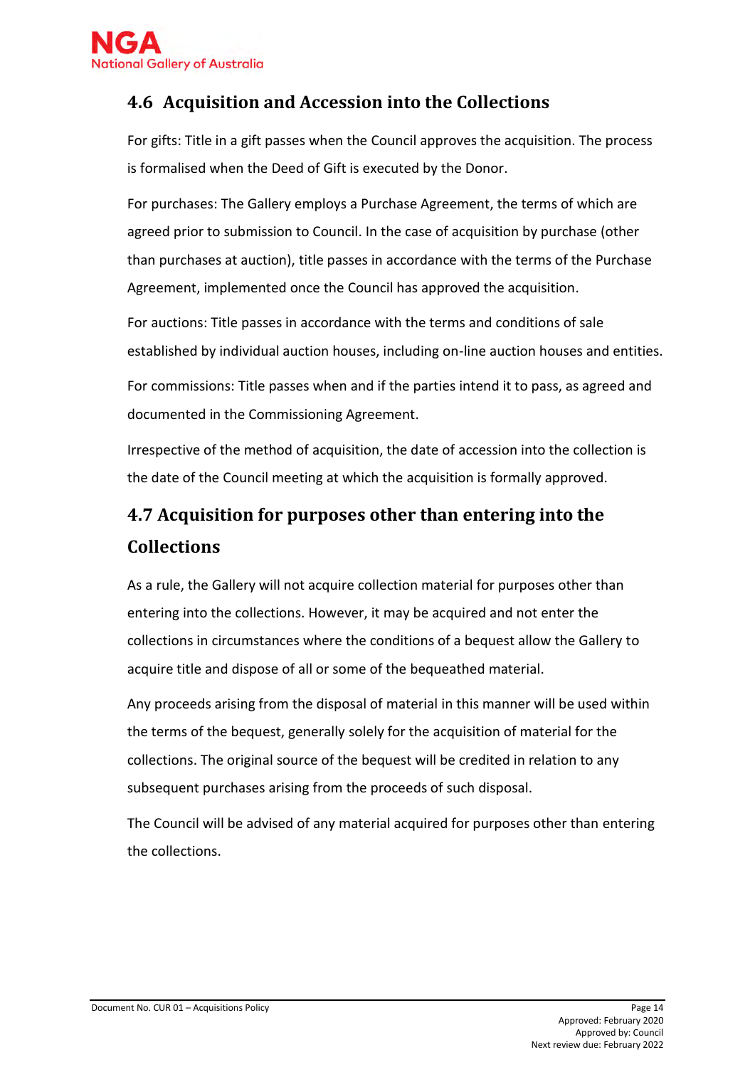

# <span id="page-13-0"></span>**4.6 Acquisition and Accession into the Collections**

For gifts: Title in a gift passes when the Council approves the acquisition. The process is formalised when the Deed of Gift is executed by the Donor.

For purchases: The Gallery employs a Purchase Agreement, the terms of which are agreed prior to submission to Council. In the case of acquisition by purchase (other than purchases at auction), title passes in accordance with the terms of the Purchase Agreement, implemented once the Council has approved the acquisition.

For auctions: Title passes in accordance with the terms and conditions of sale established by individual auction houses, including on-line auction houses and entities.

For commissions: Title passes when and if the parties intend it to pass, as agreed and documented in the Commissioning Agreement.

Irrespective of the method of acquisition, the date of accession into the collection is the date of the Council meeting at which the acquisition is formally approved.

# <span id="page-13-1"></span>**4.7 Acquisition for purposes other than entering into the Collections**

As a rule, the Gallery will not acquire collection material for purposes other than entering into the collections. However, it may be acquired and not enter the collections in circumstances where the conditions of a bequest allow the Gallery to acquire title and dispose of all or some of the bequeathed material.

Any proceeds arising from the disposal of material in this manner will be used within the terms of the bequest, generally solely for the acquisition of material for the collections. The original source of the bequest will be credited in relation to any subsequent purchases arising from the proceeds of such disposal.

The Council will be advised of any material acquired for purposes other than entering the collections.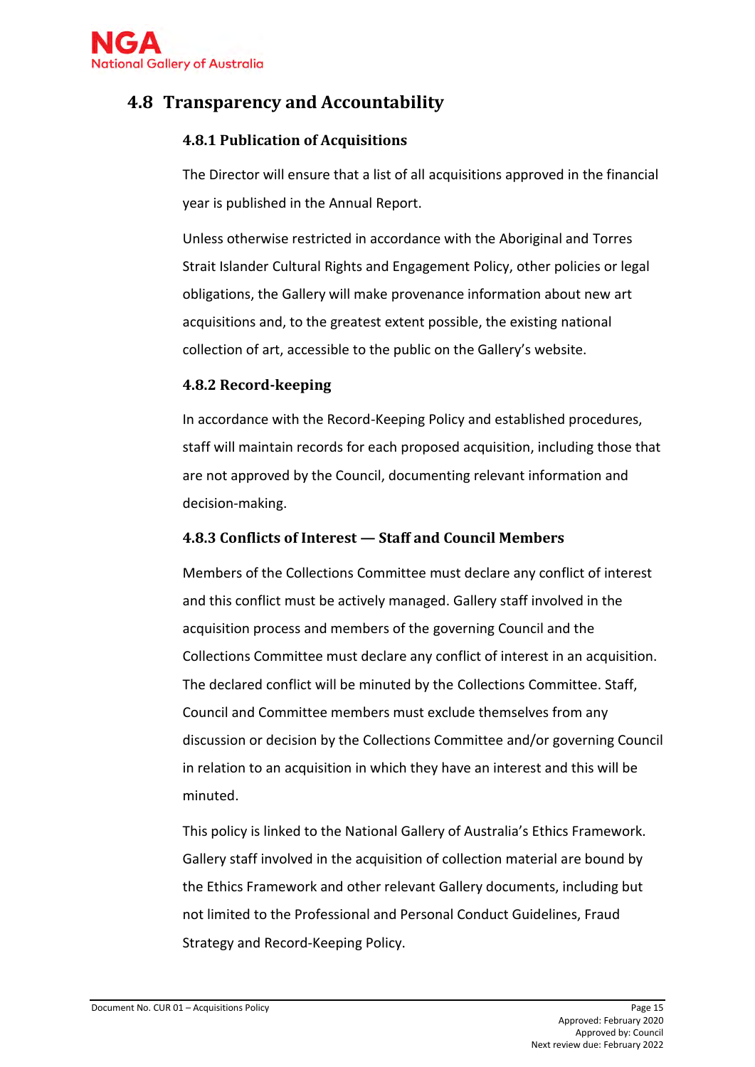

### <span id="page-14-0"></span>**4.8 Transparency and Accountability**

#### **4.8.1 Publication of Acquisitions**

The Director will ensure that a list of all acquisitions approved in the financial year is published in the Annual Report.

Unless otherwise restricted in accordance with the Aboriginal and Torres Strait Islander Cultural Rights and Engagement Policy, other policies or legal obligations, the Gallery will make provenance information about new art acquisitions and, to the greatest extent possible, the existing national collection of art, accessible to the public on the Gallery's website.

#### **4.8.2 Record-keeping**

In accordance with the Record-Keeping Policy and established procedures, staff will maintain records for each proposed acquisition, including those that are not approved by the Council, documenting relevant information and decision-making.

#### **4.8.3 Conflicts of Interest — Staff and Council Members**

Members of the Collections Committee must declare any conflict of interest and this conflict must be actively managed. Gallery staff involved in the acquisition process and members of the governing Council and the Collections Committee must declare any conflict of interest in an acquisition. The declared conflict will be minuted by the Collections Committee. Staff, Council and Committee members must exclude themselves from any discussion or decision by the Collections Committee and/or governing Council in relation to an acquisition in which they have an interest and this will be minuted.

This policy is linked to the National Gallery of Australia's Ethics Framework. Gallery staff involved in the acquisition of collection material are bound by the Ethics Framework and other relevant Gallery documents, including but not limited to the Professional and Personal Conduct Guidelines, Fraud Strategy and Record-Keeping Policy.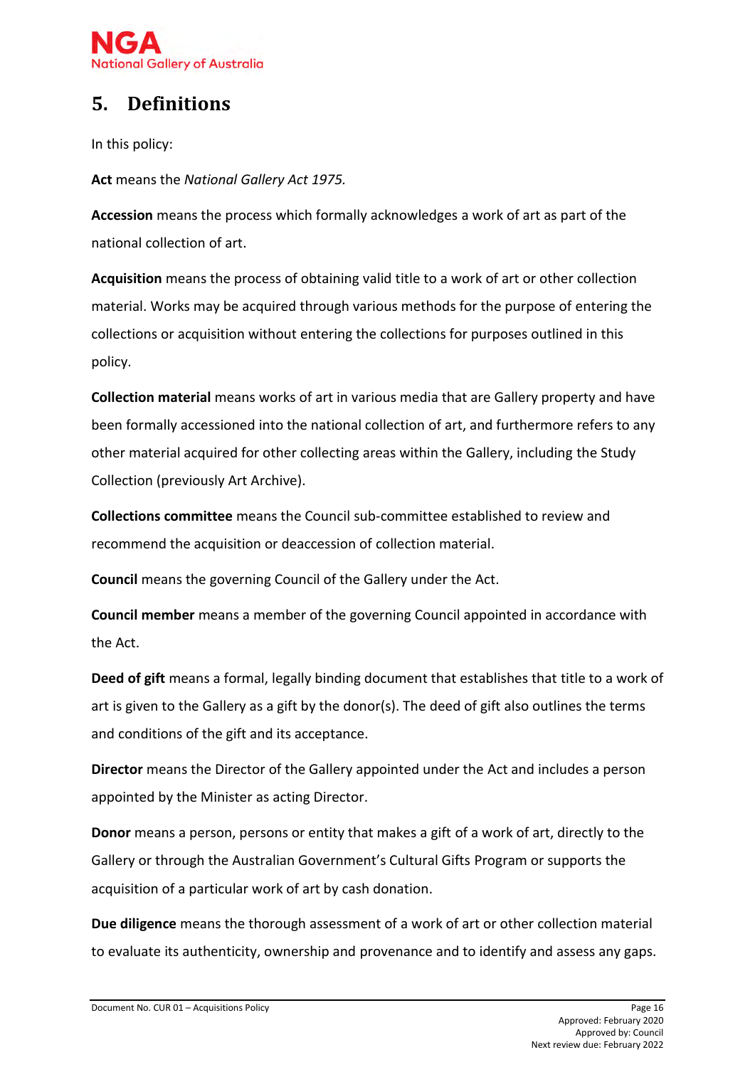

# <span id="page-15-0"></span>**5. Definitions**

In this policy:

**Act** means the *National Gallery Act 1975.*

**Accession** means the process which formally acknowledges a work of art as part of the national collection of art.

**Acquisition** means the process of obtaining valid title to a work of art or other collection material. Works may be acquired through various methods for the purpose of entering the collections or acquisition without entering the collections for purposes outlined in this policy.

**Collection material** means works of art in various media that are Gallery property and have been formally accessioned into the national collection of art, and furthermore refers to any other material acquired for other collecting areas within the Gallery, including the Study Collection (previously Art Archive).

**Collections committee** means the Council sub-committee established to review and recommend the acquisition or deaccession of collection material.

**Council** means the governing Council of the Gallery under the Act.

**Council member** means a member of the governing Council appointed in accordance with the Act.

**Deed of gift** means a formal, legally binding document that establishes that title to a work of art is given to the Gallery as a gift by the donor(s). The deed of gift also outlines the terms and conditions of the gift and its acceptance.

**Director** means the Director of the Gallery appointed under the Act and includes a person appointed by the Minister as acting Director.

**Donor** means a person, persons or entity that makes a gift of a work of art, directly to the Gallery or through the Australian Government's Cultural Gifts Program or supports the acquisition of a particular work of art by cash donation.

**Due diligence** means the thorough assessment of a work of art or other collection material to evaluate its authenticity, ownership and provenance and to identify and assess any gaps.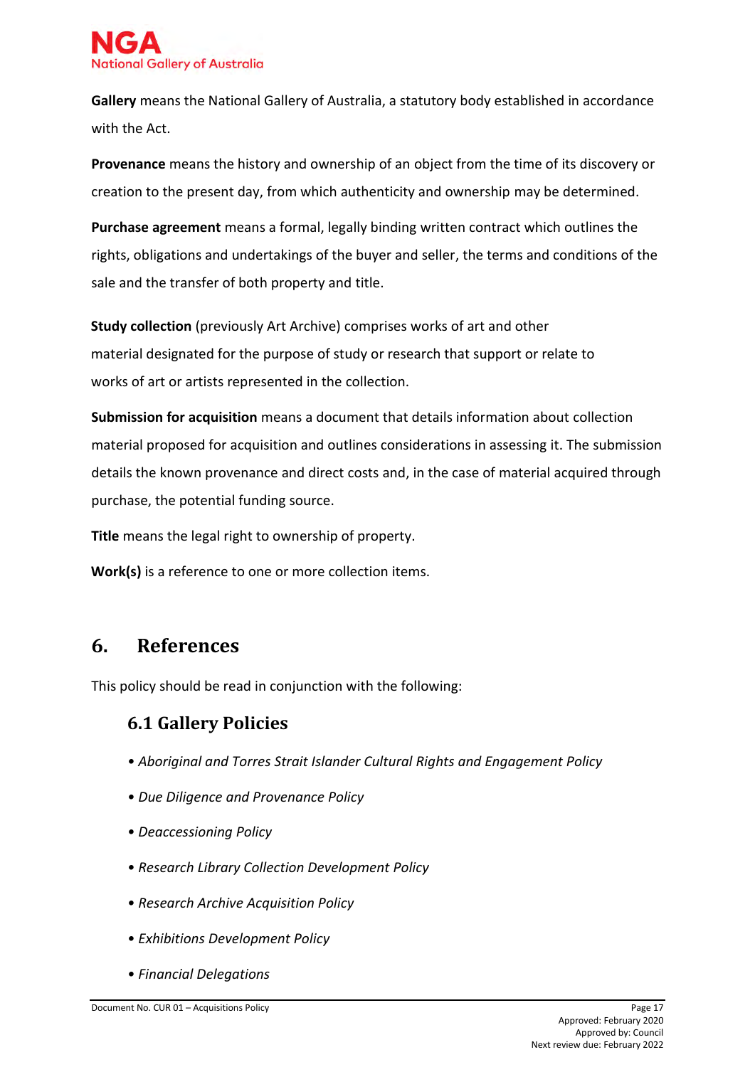

**Gallery** means the National Gallery of Australia, a statutory body established in accordance with the Act.

**Provenance** means the history and ownership of an object from the time of its discovery or creation to the present day, from which authenticity and ownership may be determined.

**Purchase agreement** means a formal, legally binding written contract which outlines the rights, obligations and undertakings of the buyer and seller, the terms and conditions of the sale and the transfer of both property and title.

**Study collection** (previously Art Archive) comprises works of art and other material designated for the purpose of study or research that support or relate to works of art or artists represented in the collection.

**Submission for acquisition** means a document that details information about collection material proposed for acquisition and outlines considerations in assessing it. The submission details the known provenance and direct costs and, in the case of material acquired through purchase, the potential funding source.

**Title** means the legal right to ownership of property.

**Work(s)** is a reference to one or more collection items.

### <span id="page-16-0"></span>**6. References**

<span id="page-16-1"></span>This policy should be read in conjunction with the following:

### **6.1 Gallery Policies**

- *Aboriginal and Torres Strait Islander Cultural Rights and Engagement Policy*
- *Due Diligence and Provenance Policy*
- *Deaccessioning Policy*
- *Research Library Collection Development Policy*
- *Research Archive Acquisition Policy*
- *Exhibitions Development Policy*
- *Financial Delegations*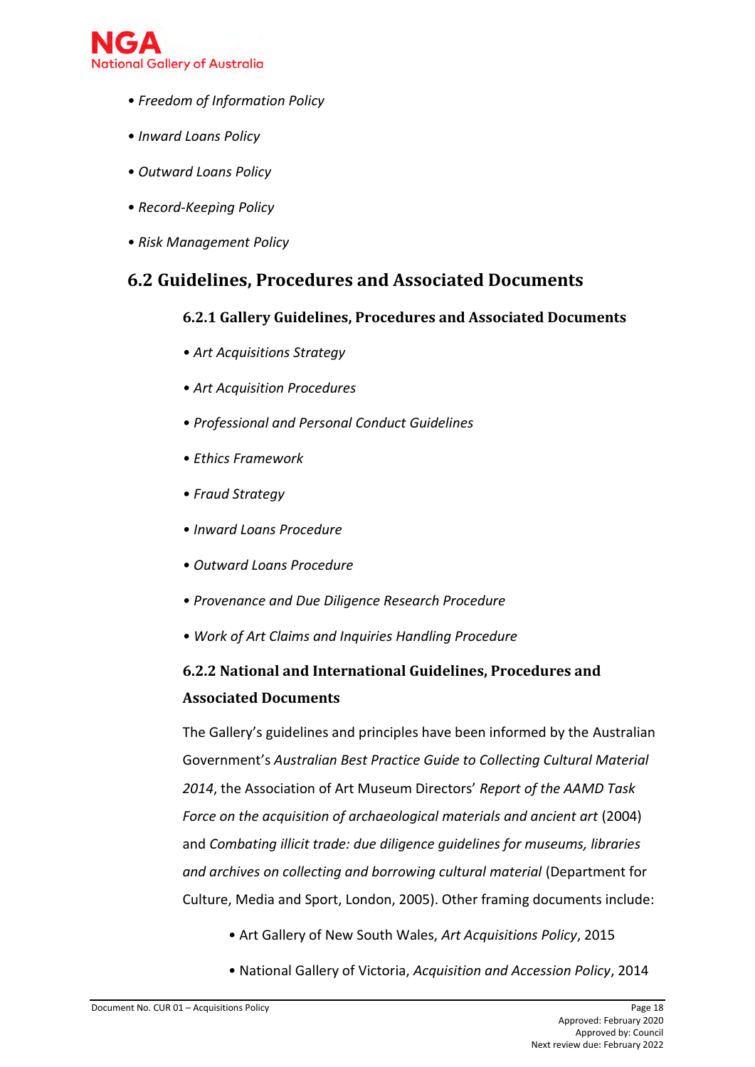

- *Freedom of Information Policy*
- *Inward Loans Policy*
- *Outward Loans Policy*
- *Record-Keeping Policy*
- *Risk Management Policy*

### <span id="page-17-0"></span>**6.2 Guidelines, Procedures and Associated Documents**

#### **6.2.1 Gallery Guidelines, Procedures and Associated Documents**

- *Art Acquisitions Strategy*
- *Art Acquisition Procedures*
- *Professional and Personal Conduct Guidelines*
- *Ethics Framework*
- *Fraud Strategy*
- *Inward Loans Procedure*
- *Outward Loans Procedure*
- *• Provenance and Due Diligence Research Procedure*
- *Work of Art Claims and Inquiries Handling Procedure*

# **6.2.2 National and International Guidelines, Procedures and Associated Documents**

The Gallery's guidelines and principles have been informed by the Australian Government's *Australian Best Practice Guide to Collecting Cultural Material 2014*, the Association of Art Museum Directors' *Report of the AAMD Task Force on the acquisition of archaeological materials and ancient art* (2004) and *Combating illicit trade: due diligence guidelines for museums, libraries and archives on collecting and borrowing cultural material* (Department for Culture, Media and Sport, London, 2005). Other framing documents include:

- Art Gallery of New South Wales, *Art Acquisitions Policy*, 2015
- National Gallery of Victoria, *Acquisition and Accession Policy*, 2014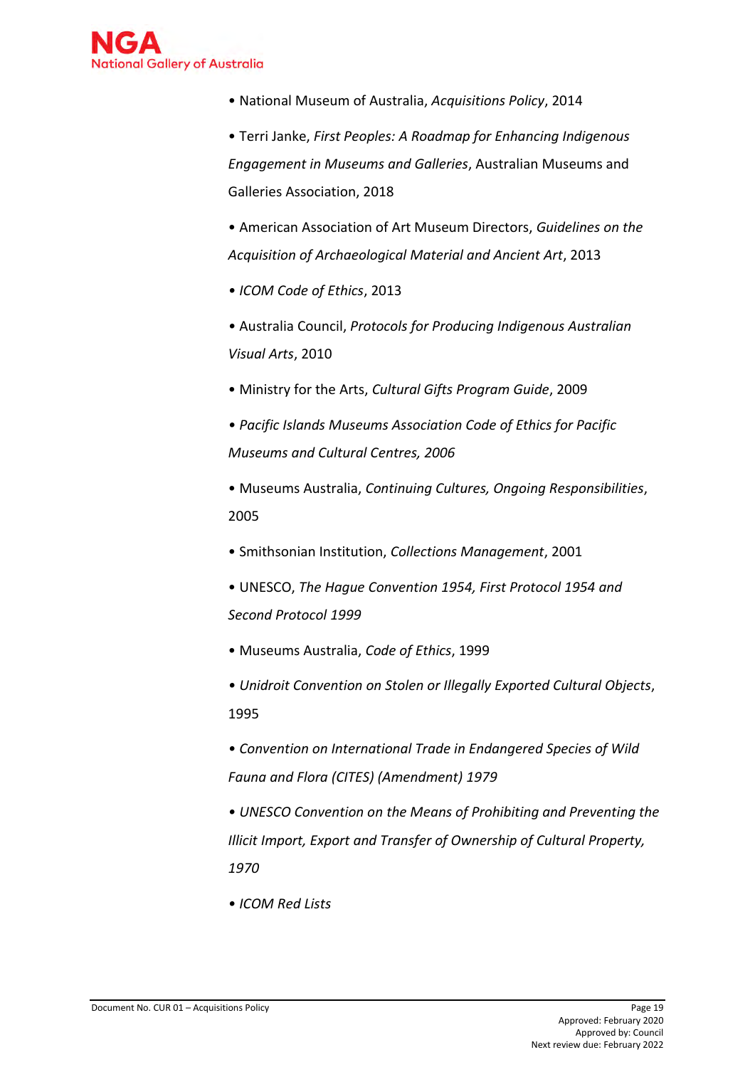

• National Museum of Australia, *Acquisitions Policy*, 2014

• Terri Janke, *First Peoples: A Roadmap for Enhancing Indigenous Engagement in Museums and Galleries*, Australian Museums and Galleries Association, 2018

• American Association of Art Museum Directors, *Guidelines on the Acquisition of Archaeological Material and Ancient Art*, 2013

- *ICOM Code of Ethics*, 2013
- Australia Council, *Protocols for Producing Indigenous Australian Visual Arts*, 2010
- Ministry for the Arts, *Cultural Gifts Program Guide*, 2009
- *Pacific Islands Museums Association Code of Ethics for Pacific Museums and Cultural Centres, 2006*
- Museums Australia, *Continuing Cultures, Ongoing Responsibilities*, 2005
- Smithsonian Institution, *Collections Management*, 2001
- UNESCO, *The Hague Convention 1954, First Protocol 1954 and Second Protocol 1999*
- Museums Australia, *Code of Ethics*, 1999
- *Unidroit Convention on Stolen or Illegally Exported Cultural Objects*, 1995
- *Convention on International Trade in Endangered Species of Wild Fauna and Flora (CITES) (Amendment) 1979*
- *UNESCO Convention on the Means of Prohibiting and Preventing the Illicit Import, Export and Transfer of Ownership of Cultural Property, 1970*
- *ICOM Red Lists*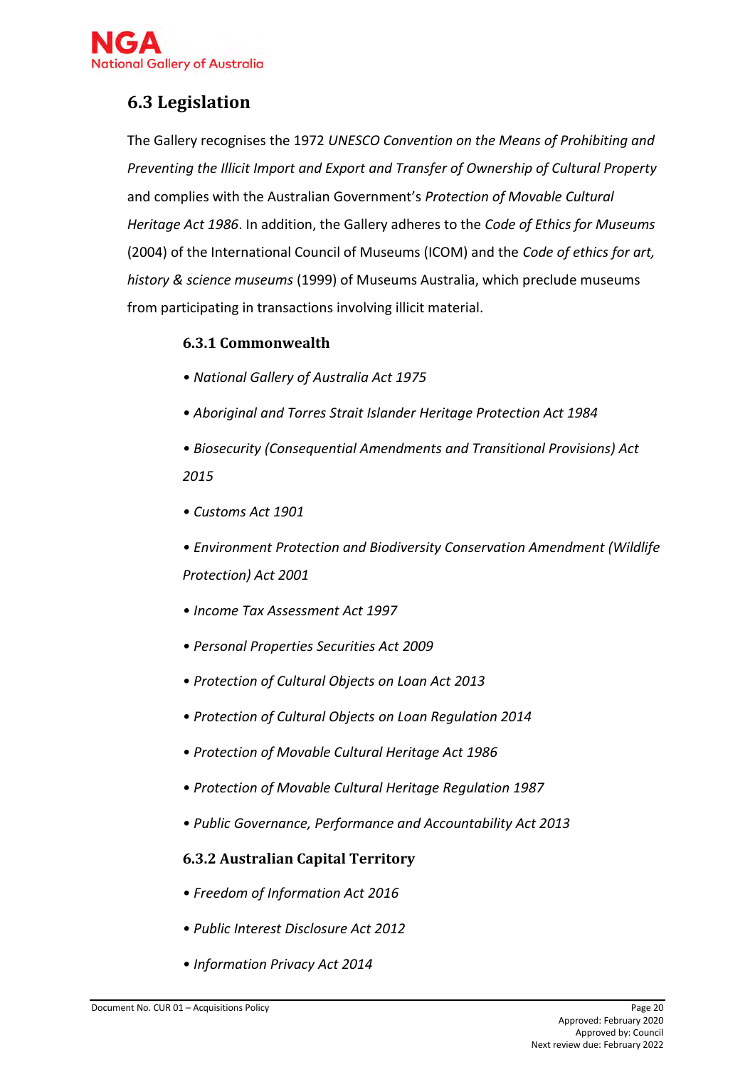

# <span id="page-19-0"></span>**6.3 Legislation**

The Gallery recognises the 1972 *UNESCO Convention on the Means of Prohibiting and Preventing the Illicit Import and Export and Transfer of Ownership of Cultural Property*  and complies with the Australian Government's *Protection of Movable Cultural Heritage Act 1986*. In addition, the Gallery adheres to the *Code of Ethics for Museums*  (2004) of the International Council of Museums (ICOM) and the *Code of ethics for art, history & science museums* (1999) of Museums Australia, which preclude museums from participating in transactions involving illicit material.

#### **6.3.1 Commonwealth**

- *National Gallery of Australia Act 1975*
- *Aboriginal and Torres Strait Islander Heritage Protection Act 1984*
- *Biosecurity (Consequential Amendments and Transitional Provisions) Act 2015*
- *Customs Act 1901*
- *Environment Protection and Biodiversity Conservation Amendment (Wildlife Protection) Act 2001*
- *Income Tax Assessment Act 1997*
- *Personal Properties Securities Act 2009*
- *Protection of Cultural Objects on Loan Act 2013*
- *Protection of Cultural Objects on Loan Regulation 2014*
- *Protection of Movable Cultural Heritage Act 1986*
- *Protection of Movable Cultural Heritage Regulation 1987*
- *Public Governance, Performance and Accountability Act 2013*

#### **6.3.2 Australian Capital Territory**

- *Freedom of Information Act 2016*
- *[Public Interest Disclosure Act 2012](http://www.legislation.act.gov.au/a/2012-43/default.asp)*
- *Information Privacy Act 2014*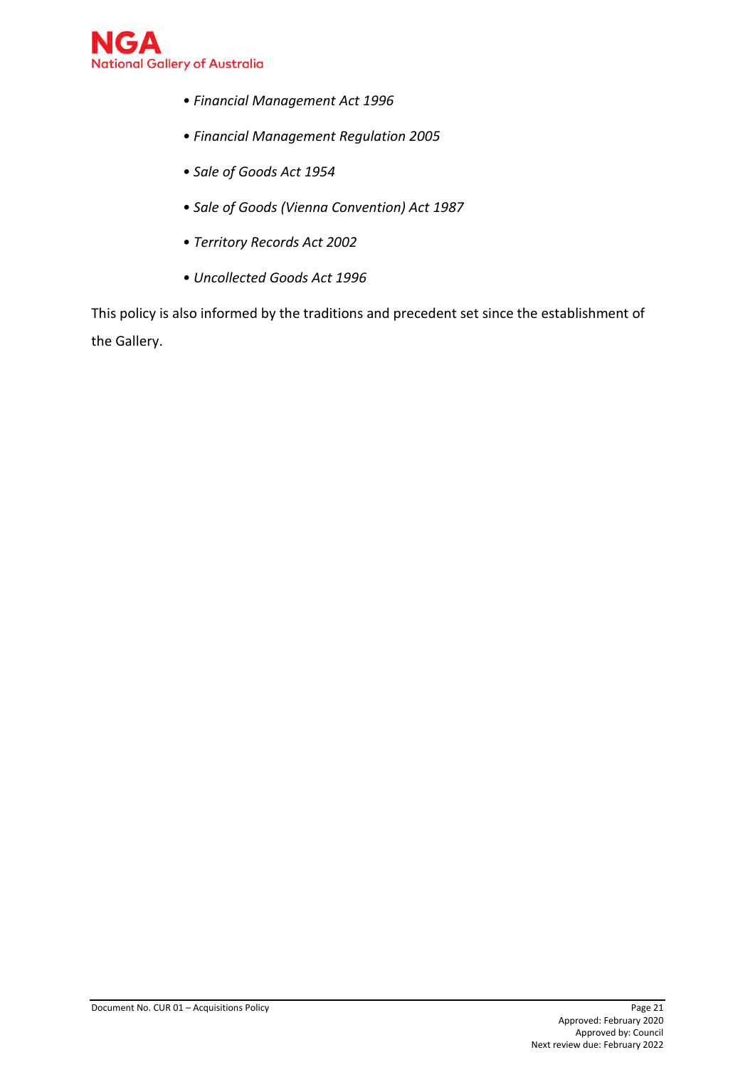

- *Financial Management Act 1996*
- *Financial Management Regulation 2005*
- *Sale of Goods Act 1954*
- *Sale of Goods (Vienna Convention) Act 1987*
- *[Territory Records Act 2002](http://www.legislation.act.gov.au/a/2002-18/default.asp)*
- *Uncollected Goods Act 1996*

This policy is also informed by the traditions and precedent set since the establishment of the Gallery.